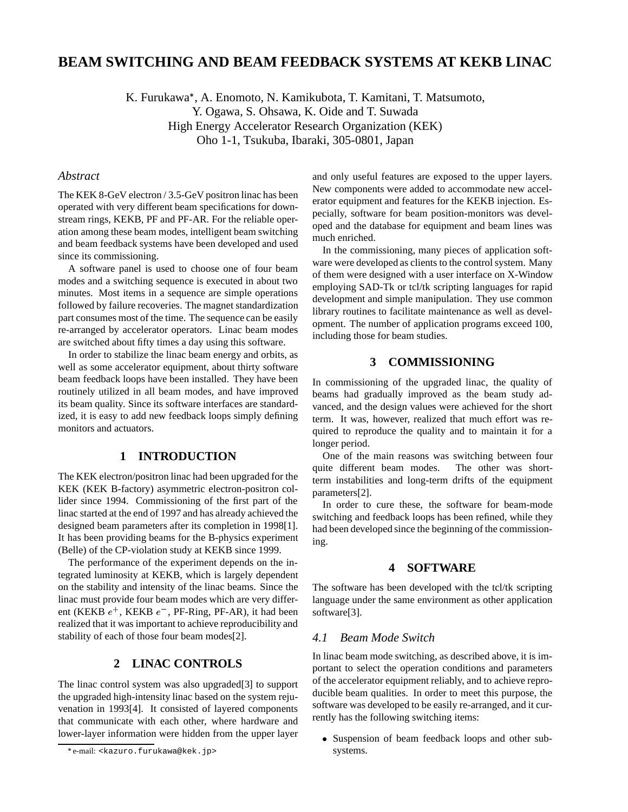# **BEAM SWITCHING AND BEAM FEEDBACK SYSTEMS AT KEKB LINAC**

K. Furukawa , A. Enomoto, N. Kamikubota, T. Kamitani, T. Matsumoto, Y. Ogawa, S. Ohsawa, K. Oide and T. Suwada High Energy Accelerator Research Organization (KEK) Oho 1-1, Tsukuba, Ibaraki, 305-0801, Japan

### *Abstract*

The KEK 8-GeV electron / 3.5-GeV positron linac has been operated with very different beam specifications for downstream rings, KEKB, PF and PF-AR. For the reliable operation among these beam modes, intelligent beam switching and beam feedback systems have been developed and used since its commissioning.

A software panel is used to choose one of four beam modes and a switching sequence is executed in about two minutes. Most items in a sequence are simple operations followed by failure recoveries. The magnet standardization part consumes most of the time. The sequence can be easily re-arranged by accelerator operators. Linac beam modes are switched about fifty times a day using this software.

In order to stabilize the linac beam energy and orbits, as well as some accelerator equipment, about thirty software beam feedback loops have been installed. They have been routinely utilized in all beam modes, and have improved its beam quality. Since its software interfaces are standardized, it is easy to add new feedback loops simply defining monitors and actuators.

# **1 INTRODUCTION**

The KEK electron/positron linac had been upgraded for the KEK (KEK B-factory) asymmetric electron-positron collider since 1994. Commissioning of the first part of the linac started at the end of 1997 and has already achieved the designed beam parameters after its completion in 1998[1]. It has been providing beams for the B-physics experiment (Belle) of the CP-violation study at KEKB since 1999.

The performance of the experiment depends on the integrated luminosity at KEKB, which is largely dependent on the stability and intensity of the linac beams. Since the linac must provide four beam modes which are very different (KEKB  $e^+$ , KEKB  $e^-$ , PF-Ring, PF-AR), it had been realized that it was important to achieve reproducibility and stability of each of those four beam modes[2].

### **2 LINAC CONTROLS**

The linac control system was also upgraded[3] to support the upgraded high-intensity linac based on the system rejuvenation in 1993[4]. It consisted of layered components that communicate with each other, where hardware and lower-layer information were hidden from the upper layer and only useful features are exposed to the upper layers. New components were added to accommodate new accelerator equipment and features for the KEKB injection. Especially, software for beam position-monitors was developed and the database for equipment and beam lines was much enriched.

In the commissioning, many pieces of application software were developed as clients to the control system. Many of them were designed with a user interface on X-Window employing SAD-Tk or tcl/tk scripting languages for rapid development and simple manipulation. They use common library routines to facilitate maintenance as well as development. The number of application programs exceed 100, including those for beam studies.

### **3 COMMISSIONING**

In commissioning of the upgraded linac, the quality of beams had gradually improved as the beam study advanced, and the design values were achieved for the short term. It was, however, realized that much effort was required to reproduce the quality and to maintain it for a longer period.

One of the main reasons was switching between four quite different beam modes. The other was shortterm instabilities and long-term drifts of the equipment parameters[2].

In order to cure these, the software for beam-mode switching and feedback loops has been refined, while they had been developed since the beginning of the commissioning.

#### **4 SOFTWARE**

The software has been developed with the tcl/tk scripting language under the same environment as other application software[3].

### *4.1 Beam Mode Switch*

In linac beam mode switching, as described above, it is important to select the operation conditions and parameters of the accelerator equipment reliably, and to achieve reproducible beam qualities. In order to meet this purpose, the software was developed to be easily re-arranged, and it currently has the following switching items:

 Suspension of beam feedback loops and other subsystems.

e-mail: <kazuro.furukawa@kek.jp>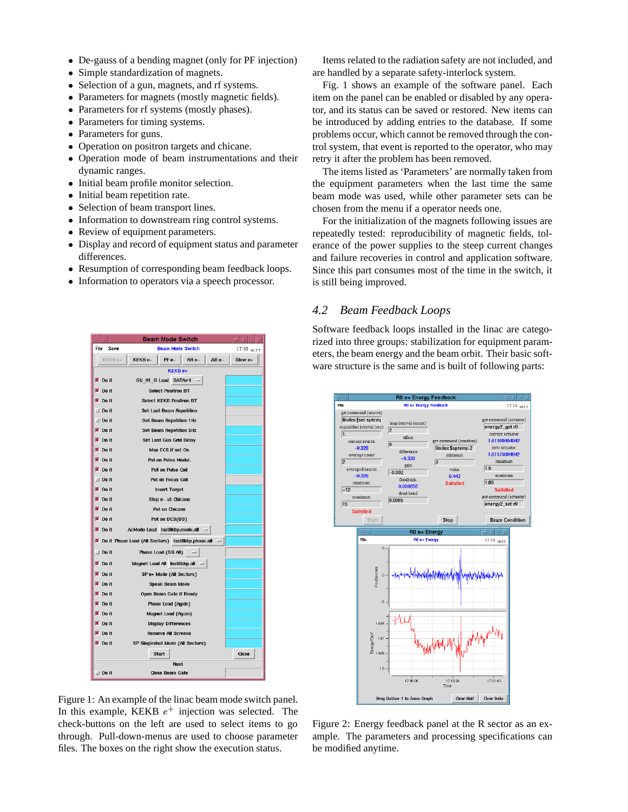- De-gauss of a bending magnet (only for PF injection)
- $\bullet$ Simple standardization of magnets.
- Selection of a gun, magnets, and rf systems.
- Parameters for magnets (mostly magnetic fields).
- Parameters for rf systems (mostly phases).
- Parameters for timing systems.
- Parameters for guns.
- Operation on positron targets and chicane.
- Operation mode of beam instrumentations and their dynamic ranges.
- $\bullet$  Initial beam profile monitor selection.
- Initial beam repetition rate.
- Selection of beam transport lines.
- Information to downstream ring control systems.
- Review of equipment parameters.
- Display and record of equipment status and parameter differences.
- Resumption of corresponding beam feedback loops.
- Information to operators via a speech processor.



Items related to the radiation safety are not included, and are handled by a separate safety-interlock system.

Fig. 1 shows an example of the software panel. Each item on the panel can be enabled or disabled by any operator, and its status can be saved or restored. New items can be introduced by adding entries to the database. If some problems occur, which cannot be removed through the control system, that event is reported to the operator, who may retry it after the problem has been removed.

The items listed as 'Parameters' are normally taken from the equipment parameters when the last time the same beam mode was used, while other parameter sets can be chosen from the menu if a operator needs one.

For the initialization of the magnets following issues are repeatedly tested: reproducibility of magnetic fields, tolerance of the power supplies to the steep current changes and failure recoveries in control and application software. Since this part consumes most of the time in the switch, it is still being improved.

### *4.2 Beam Feedback Loops*

Software feedback loops installed in the linac are categorized into three groups: stabilization for equipment parameters, the beam energy and the beam orbit. Their basic software structure is the same and is built of following parts:



Figure 1: An example of the linac beam mode switch panel. In this example, KEKB  $e^+$  injection was selected. The check-buttons on the left are used to select items to go through. Pull-down-menus are used to choose parameter files. The boxes on the right show the execution status.

Figure 2: Energy feedback panel at the R sector as an example. The parameters and processing specifications can be modified anytime.